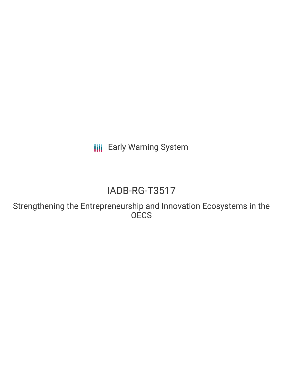**III** Early Warning System

# IADB-RG-T3517

Strengthening the Entrepreneurship and Innovation Ecosystems in the **OECS**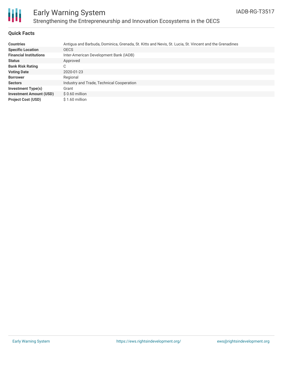

## Early Warning System Strengthening the Entrepreneurship and Innovation Ecosystems in the OECS

#### **Quick Facts**

| <b>Countries</b>               | Antigua and Barbuda, Dominica, Grenada, St. Kitts and Nevis, St. Lucia, St. Vincent and the Grenadines |
|--------------------------------|--------------------------------------------------------------------------------------------------------|
| <b>Specific Location</b>       | <b>OECS</b>                                                                                            |
| <b>Financial Institutions</b>  | Inter-American Development Bank (IADB)                                                                 |
| <b>Status</b>                  | Approved                                                                                               |
| <b>Bank Risk Rating</b>        | C                                                                                                      |
| <b>Voting Date</b>             | 2020-01-23                                                                                             |
| <b>Borrower</b>                | Regional                                                                                               |
| <b>Sectors</b>                 | Industry and Trade, Technical Cooperation                                                              |
| <b>Investment Type(s)</b>      | Grant                                                                                                  |
| <b>Investment Amount (USD)</b> | $$0.60$ million                                                                                        |
| <b>Project Cost (USD)</b>      | \$1.60 million                                                                                         |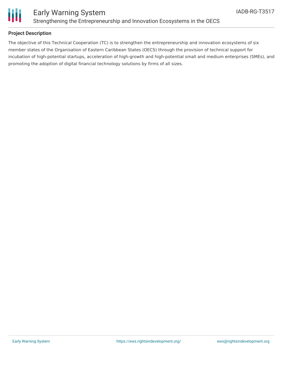

#### **Project Description**

The objective of this Technical Cooperation (TC) is to strengthen the entrepreneurship and innovation ecosystems of six member states of the Organisation of Eastern Caribbean States (OECS) through the provision of technical support for incubation of high-potential startups, acceleration of high-growth and high-potential small and medium enterprises (SMEs), and promoting the adoption of digital financial technology solutions by firms of all sizes.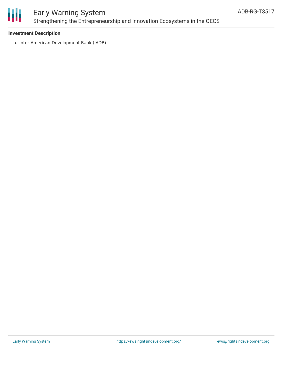

### Early Warning System Strengthening the Entrepreneurship and Innovation Ecosystems in the OECS

#### **Investment Description**

• Inter-American Development Bank (IADB)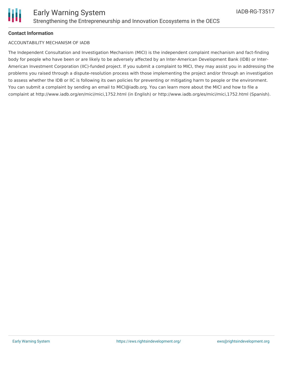

#### **Contact Information**

#### ACCOUNTABILITY MECHANISM OF IADB

The Independent Consultation and Investigation Mechanism (MICI) is the independent complaint mechanism and fact-finding body for people who have been or are likely to be adversely affected by an Inter-American Development Bank (IDB) or Inter-American Investment Corporation (IIC)-funded project. If you submit a complaint to MICI, they may assist you in addressing the problems you raised through a dispute-resolution process with those implementing the project and/or through an investigation to assess whether the IDB or IIC is following its own policies for preventing or mitigating harm to people or the environment. You can submit a complaint by sending an email to MICI@iadb.org. You can learn more about the MICI and how to file a complaint at http://www.iadb.org/en/mici/mici,1752.html (in English) or http://www.iadb.org/es/mici/mici,1752.html (Spanish).